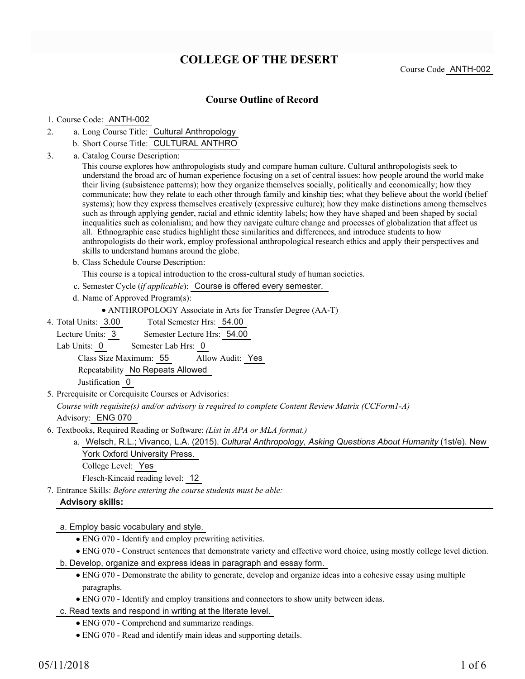# **COLLEGE OF THE DESERT**

Course Code ANTH-002

### **Course Outline of Record**

#### 1. Course Code: ANTH-002

- a. Long Course Title: Cultural Anthropology 2.
	- b. Short Course Title: CULTURAL ANTHRO
- Catalog Course Description: a. 3.

This course explores how anthropologists study and compare human culture. Cultural anthropologists seek to understand the broad arc of human experience focusing on a set of central issues: how people around the world make their living (subsistence patterns); how they organize themselves socially, politically and economically; how they communicate; how they relate to each other through family and kinship ties; what they believe about the world (belief systems); how they express themselves creatively (expressive culture); how they make distinctions among themselves such as through applying gender, racial and ethnic identity labels; how they have shaped and been shaped by social inequalities such as colonialism; and how they navigate culture change and processes of globalization that affect us all. Ethnographic case studies highlight these similarities and differences, and introduce students to how anthropologists do their work, employ professional anthropological research ethics and apply their perspectives and skills to understand humans around the globe.

b. Class Schedule Course Description:

This course is a topical introduction to the cross-cultural study of human societies.

- c. Semester Cycle (*if applicable*): Course is offered every semester.
- d. Name of Approved Program(s):

- Total Semester Hrs: 54.00 4. Total Units: 3.00
	- Lecture Units: 3 Semester Lecture Hrs: 54.00
	- Lab Units: 0 Semester Lab Hrs: 0

Class Size Maximum: 55 Allow Audit: Yes

Repeatability No Repeats Allowed

Justification 0

5. Prerequisite or Corequisite Courses or Advisories:

*Course with requisite(s) and/or advisory is required to complete Content Review Matrix (CCForm1-A)*

Advisory: ENG 070

- Textbooks, Required Reading or Software: *(List in APA or MLA format.)* 6.
	- Welsch, R.L.; Vivanco, L.A. (2015). *Cultural Anthropology, Asking Questions About Humanity* (1st/e). New a. York Oxford University Press.
		- College Level: Yes

Flesch-Kincaid reading level: 12

Entrance Skills: *Before entering the course students must be able:* 7.

#### **Advisory skills:**

a. Employ basic vocabulary and style.

- ENG 070 Identify and employ prewriting activities.
- ENG 070 Construct sentences that demonstrate variety and effective word choice, using mostly college level diction.
- b. Develop, organize and express ideas in paragraph and essay form.
	- ENG 070 Demonstrate the ability to generate, develop and organize ideas into a cohesive essay using multiple paragraphs.
	- ENG 070 Identify and employ transitions and connectors to show unity between ideas.
- c. Read texts and respond in writing at the literate level.
	- ENG 070 Comprehend and summarize readings.
	- ENG 070 Read and identify main ideas and supporting details.

ANTHROPOLOGY Associate in Arts for Transfer Degree (AA-T)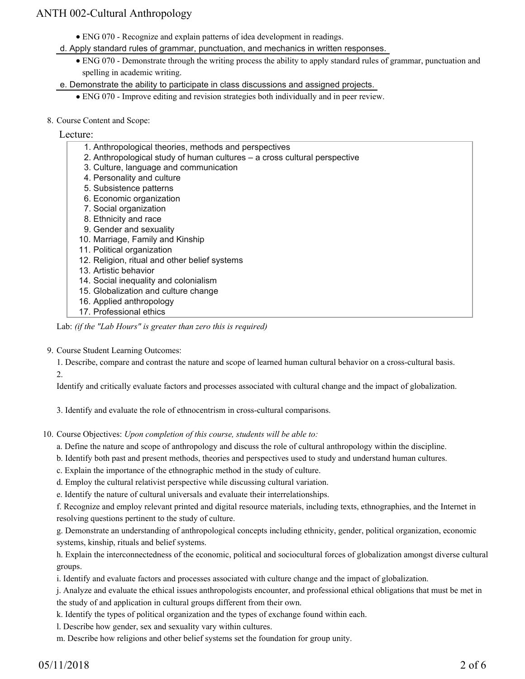- ENG 070 Recognize and explain patterns of idea development in readings.
- d. Apply standard rules of grammar, punctuation, and mechanics in written responses.
	- ENG 070 Demonstrate through the writing process the ability to apply standard rules of grammar, punctuation and spelling in academic writing.

e. Demonstrate the ability to participate in class discussions and assigned projects.

- ENG 070 Improve editing and revision strategies both individually and in peer review.
- 8. Course Content and Scope:

### Lecture:

- 1. Anthropological theories, methods and perspectives
- 2. Anthropological study of human cultures a cross cultural perspective
- 3. Culture, language and communication
- 4. Personality and culture
- 5. Subsistence patterns
- 6. Economic organization
- 7. Social organization
- 8. Ethnicity and race
- 9. Gender and sexuality
- 10. Marriage, Family and Kinship
- 11. Political organization
- 12. Religion, ritual and other belief systems
- 13. Artistic behavior
- 14. Social inequality and colonialism
- 15. Globalization and culture change
- 16. Applied anthropology
- 17. Professional ethics

Lab: *(if the "Lab Hours" is greater than zero this is required)*

#### 9. Course Student Learning Outcomes:

1. Describe, compare and contrast the nature and scope of learned human cultural behavior on a cross-cultural basis. 2.

Identify and critically evaluate factors and processes associated with cultural change and the impact of globalization.

3. Identify and evaluate the role of ethnocentrism in cross-cultural comparisons.

10. Course Objectives: Upon completion of this course, students will be able to:

a. Define the nature and scope of anthropology and discuss the role of cultural anthropology within the discipline.

- b. Identify both past and present methods, theories and perspectives used to study and understand human cultures.
- c. Explain the importance of the ethnographic method in the study of culture.

d. Employ the cultural relativist perspective while discussing cultural variation.

e. Identify the nature of cultural universals and evaluate their interrelationships.

f. Recognize and employ relevant printed and digital resource materials, including texts, ethnographies, and the Internet in resolving questions pertinent to the study of culture.

g. Demonstrate an understanding of anthropological concepts including ethnicity, gender, political organization, economic systems, kinship, rituals and belief systems.

h. Explain the interconnectedness of the economic, political and sociocultural forces of globalization amongst diverse cultural groups.

i. Identify and evaluate factors and processes associated with culture change and the impact of globalization.

j. Analyze and evaluate the ethical issues anthropologists encounter, and professional ethical obligations that must be met in the study of and application in cultural groups different from their own.

k. Identify the types of political organization and the types of exchange found within each.

l. Describe how gender, sex and sexuality vary within cultures.

m. Describe how religions and other belief systems set the foundation for group unity.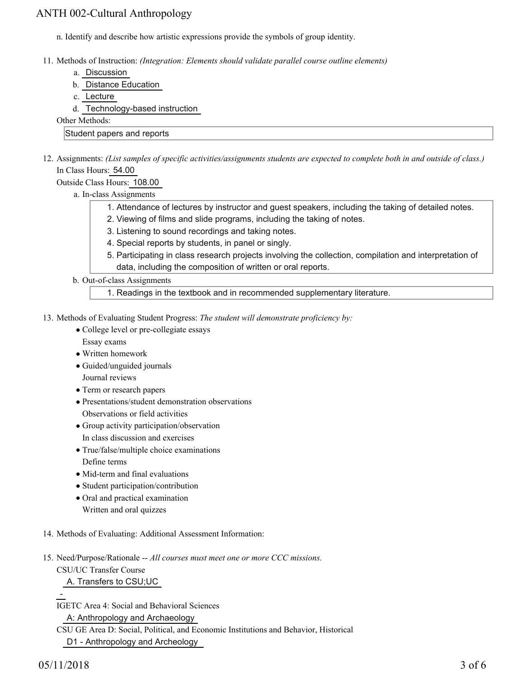n. Identify and describe how artistic expressions provide the symbols of group identity.

- Methods of Instruction: *(Integration: Elements should validate parallel course outline elements)* 11.
	- a. Discussion
	- b. Distance Education
	- c. Lecture
	- d. Technology-based instruction

Other Methods:

#### Student papers and reports

12. Assignments: (List samples of specific activities/assignments students are expected to complete both in and outside of class.) In Class Hours: 54.00

Outside Class Hours: 108.00

- a. In-class Assignments
	- 1. Attendance of lectures by instructor and guest speakers, including the taking of detailed notes.
	- 2. Viewing of films and slide programs, including the taking of notes.
	- 3. Listening to sound recordings and taking notes.
	- 4. Special reports by students, in panel or singly.
	- 5. Participating in class research projects involving the collection, compilation and interpretation of data, including the composition of written or oral reports.
- b. Out-of-class Assignments

1. Readings in the textbook and in recommended supplementary literature.

- 13. Methods of Evaluating Student Progress: The student will demonstrate proficiency by:
	- College level or pre-collegiate essays Essay exams
	- Written homework
	- Guided/unguided journals Journal reviews
	- Term or research papers
	- Presentations/student demonstration observations Observations or field activities
	- Group activity participation/observation In class discussion and exercises
	- True/false/multiple choice examinations
	- Define terms
	- Mid-term and final evaluations
	- Student participation/contribution
	- Oral and practical examination Written and oral quizzes
- 14. Methods of Evaluating: Additional Assessment Information:
- 15. Need/Purpose/Rationale -- All courses must meet one or more CCC missions.

CSU/UC Transfer Course

A. Transfers to CSU;UC

IGETC Area 4: Social and Behavioral Sciences

A: Anthropology and Archaeology

CSU GE Area D: Social, Political, and Economic Institutions and Behavior, Historical D1 - Anthropology and Archeology

-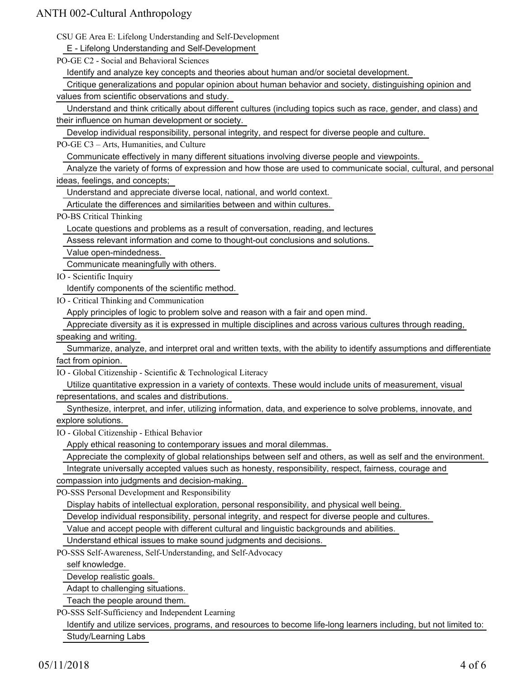CSU GE Area E: Lifelong Understanding and Self-Development

E - Lifelong Understanding and Self-Development

PO-GE C2 - Social and Behavioral Sciences

Identify and analyze key concepts and theories about human and/or societal development.

Critique generalizations and popular opinion about human behavior and society, distinguishing opinion and

values from scientific observations and study.

 Understand and think critically about different cultures (including topics such as race, gender, and class) and their influence on human development or society.

Develop individual responsibility, personal integrity, and respect for diverse people and culture.

PO-GE C3 – Arts, Humanities, and Culture

Communicate effectively in many different situations involving diverse people and viewpoints.

 Analyze the variety of forms of expression and how those are used to communicate social, cultural, and personal ideas, feelings, and concepts;

Understand and appreciate diverse local, national, and world context.

Articulate the differences and similarities between and within cultures.

PO-BS Critical Thinking

Locate questions and problems as a result of conversation, reading, and lectures

Assess relevant information and come to thought-out conclusions and solutions.

Value open-mindedness.

Communicate meaningfully with others.

IO - Scientific Inquiry

Identify components of the scientific method.

IO - Critical Thinking and Communication

Apply principles of logic to problem solve and reason with a fair and open mind.

Appreciate diversity as it is expressed in multiple disciplines and across various cultures through reading,

speaking and writing.

 Summarize, analyze, and interpret oral and written texts, with the ability to identify assumptions and differentiate fact from opinion.

IO - Global Citizenship - Scientific & Technological Literacy

 Utilize quantitative expression in a variety of contexts. These would include units of measurement, visual representations, and scales and distributions.

 Synthesize, interpret, and infer, utilizing information, data, and experience to solve problems, innovate, and explore solutions.

IO - Global Citizenship - Ethical Behavior

Apply ethical reasoning to contemporary issues and moral dilemmas.

Appreciate the complexity of global relationships between self and others, as well as self and the environment.

Integrate universally accepted values such as honesty, responsibility, respect, fairness, courage and

compassion into judgments and decision-making.

PO-SSS Personal Development and Responsibility

Display habits of intellectual exploration, personal responsibility, and physical well being.

Develop individual responsibility, personal integrity, and respect for diverse people and cultures.

Value and accept people with different cultural and linguistic backgrounds and abilities.

Understand ethical issues to make sound judgments and decisions.

PO-SSS Self-Awareness, Self-Understanding, and Self-Advocacy

self knowledge.

Develop realistic goals.

Adapt to challenging situations.

Teach the people around them.

PO-SSS Self-Sufficiency and Independent Learning

 Identify and utilize services, programs, and resources to become life-long learners including, but not limited to: Study/Learning Labs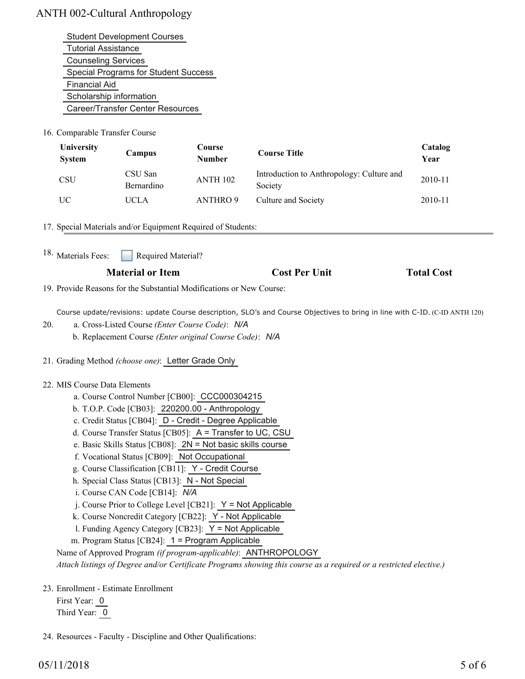| <b>Student Development Courses</b>          |
|---------------------------------------------|
| <b>Tutorial Assistance</b>                  |
| <b>Counseling Services</b>                  |
| <b>Special Programs for Student Success</b> |
| <b>Financial Aid</b>                        |
| Scholarship information                     |
| Career/Transfer Center Resources            |

16. Comparable Transfer Course

| <b>University</b><br><b>System</b> | Campus                | Course<br><b>Number</b> | <b>Course Title</b>                                  | Catalog<br>Year |
|------------------------------------|-----------------------|-------------------------|------------------------------------------------------|-----------------|
| <b>CSU</b>                         | CSU San<br>Bernardino | <b>ANTH 102</b>         | Introduction to Anthropology: Culture and<br>Society | 2010-11         |
| UC                                 | UCLA                  | <b>ANTHRO 9</b>         | Culture and Society                                  | 2010-11         |

17. Special Materials and/or Equipment Required of Students:

Required Material? 18. Materials Fees:

| <b>Material or Item</b> | <b>Cost Per Unit</b> | <b>Total Cost</b> |
|-------------------------|----------------------|-------------------|
|-------------------------|----------------------|-------------------|

19. Provide Reasons for the Substantial Modifications or New Course:

Course update/revisions: update Course description, SLO's and Course Objectives to bring in line with C-ID. (C-ID ANTH 120)

- a. Cross-Listed Course *(Enter Course Code)*: *N/A* 20.
	- b. Replacement Course *(Enter original Course Code)*: *N/A*
- 21. Grading Method *(choose one)*: Letter Grade Only

### 22. MIS Course Data Elements

- a. Course Control Number [CB00]: CCC000304215
- b. T.O.P. Code [CB03]: 220200.00 Anthropology
- c. Credit Status [CB04]: D Credit Degree Applicable
- d. Course Transfer Status [CB05]: A = Transfer to UC, CSU
- e. Basic Skills Status [CB08]: 2N = Not basic skills course
- f. Vocational Status [CB09]: Not Occupational
- g. Course Classification [CB11]: Y Credit Course
- h. Special Class Status [CB13]: N Not Special
- i. Course CAN Code [CB14]: *N/A*
- $i$ . Course Prior to College Level [CB21]:  $Y = Not$  Applicable
- k. Course Noncredit Category [CB22]: Y Not Applicable
- l. Funding Agency Category [CB23]: Y = Not Applicable
- m. Program Status [CB24]: 1 = Program Applicable

Name of Approved Program *(if program-applicable)*: ANTHROPOLOGY

*Attach listings of Degree and/or Certificate Programs showing this course as a required or a restricted elective.)*

23. Enrollment - Estimate Enrollment

First Year: 0 Third Year: 0

24. Resources - Faculty - Discipline and Other Qualifications: